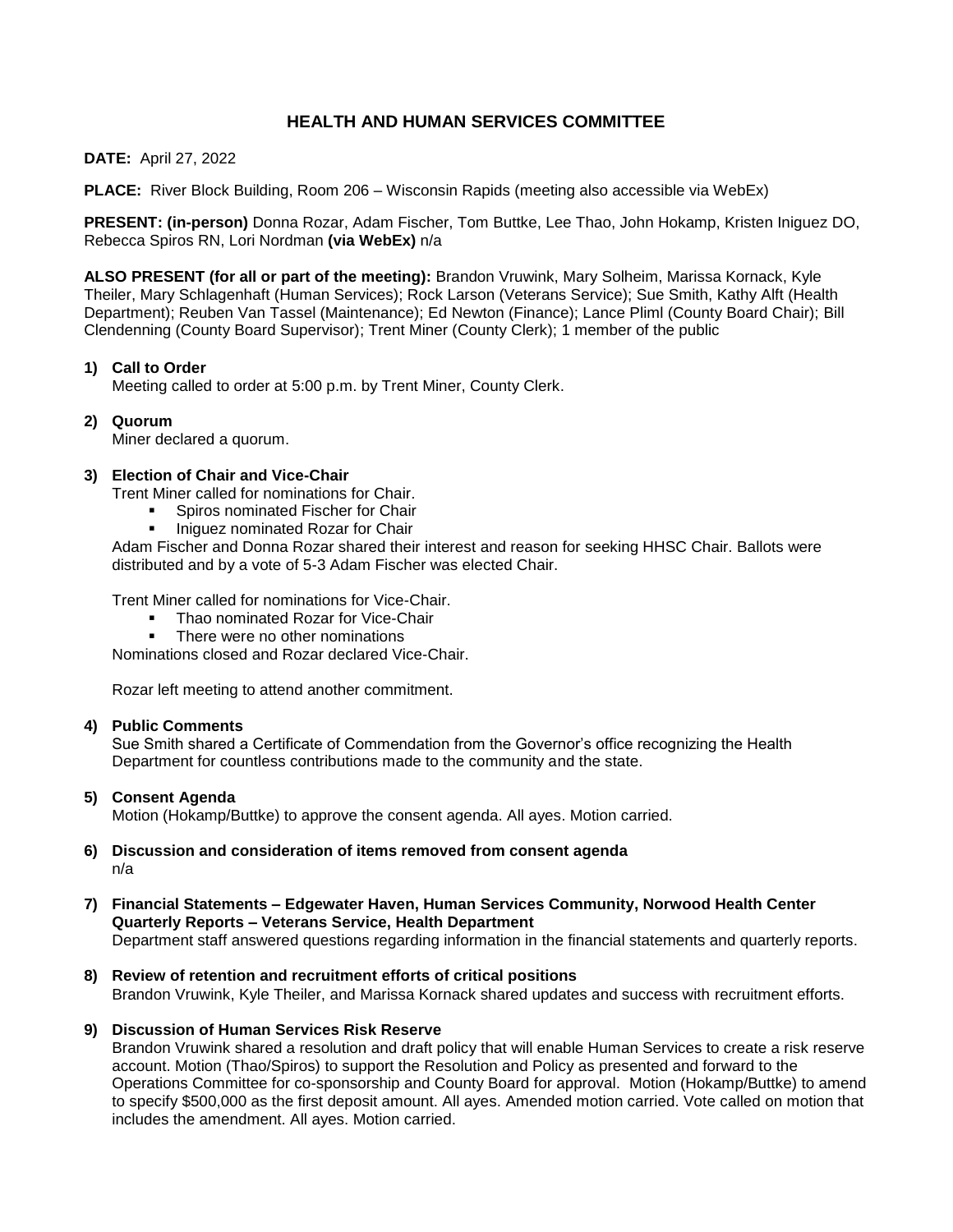# **HEALTH AND HUMAN SERVICES COMMITTEE**

### **DATE:** April 27, 2022

**PLACE:** River Block Building, Room 206 – Wisconsin Rapids (meeting also accessible via WebEx)

**PRESENT: (in-person)** Donna Rozar, Adam Fischer, Tom Buttke, Lee Thao, John Hokamp, Kristen Iniguez DO, Rebecca Spiros RN, Lori Nordman **(via WebEx)** n/a

**ALSO PRESENT (for all or part of the meeting):** Brandon Vruwink, Mary Solheim, Marissa Kornack, Kyle Theiler, Mary Schlagenhaft (Human Services); Rock Larson (Veterans Service); Sue Smith, Kathy Alft (Health Department); Reuben Van Tassel (Maintenance); Ed Newton (Finance); Lance Pliml (County Board Chair); Bill Clendenning (County Board Supervisor); Trent Miner (County Clerk); 1 member of the public

# **1) Call to Order**

Meeting called to order at 5:00 p.m. by Trent Miner, County Clerk.

# **2) Quorum**

Miner declared a quorum.

# **3) Election of Chair and Vice-Chair**

Trent Miner called for nominations for Chair.

- Spiros nominated Fischer for Chair
- Iniguez nominated Rozar for Chair

Adam Fischer and Donna Rozar shared their interest and reason for seeking HHSC Chair. Ballots were distributed and by a vote of 5-3 Adam Fischer was elected Chair.

Trent Miner called for nominations for Vice-Chair.

- Thao nominated Rozar for Vice-Chair
- There were no other nominations

Nominations closed and Rozar declared Vice-Chair.

Rozar left meeting to attend another commitment.

### **4) Public Comments**

Sue Smith shared a Certificate of Commendation from the Governor's office recognizing the Health Department for countless contributions made to the community and the state.

### **5) Consent Agenda**

Motion (Hokamp/Buttke) to approve the consent agenda. All ayes. Motion carried.

### **6) Discussion and consideration of items removed from consent agenda** n/a

#### **7) Financial Statements – Edgewater Haven, Human Services Community, Norwood Health Center Quarterly Reports – Veterans Service, Health Department** Department staff answered questions regarding information in the financial statements and quarterly reports.

**8) Review of retention and recruitment efforts of critical positions** Brandon Vruwink, Kyle Theiler, and Marissa Kornack shared updates and success with recruitment efforts.

### **9) Discussion of Human Services Risk Reserve**

Brandon Vruwink shared a resolution and draft policy that will enable Human Services to create a risk reserve account. Motion (Thao/Spiros) to support the Resolution and Policy as presented and forward to the Operations Committee for co-sponsorship and County Board for approval. Motion (Hokamp/Buttke) to amend to specify \$500,000 as the first deposit amount. All ayes. Amended motion carried. Vote called on motion that includes the amendment. All ayes. Motion carried.